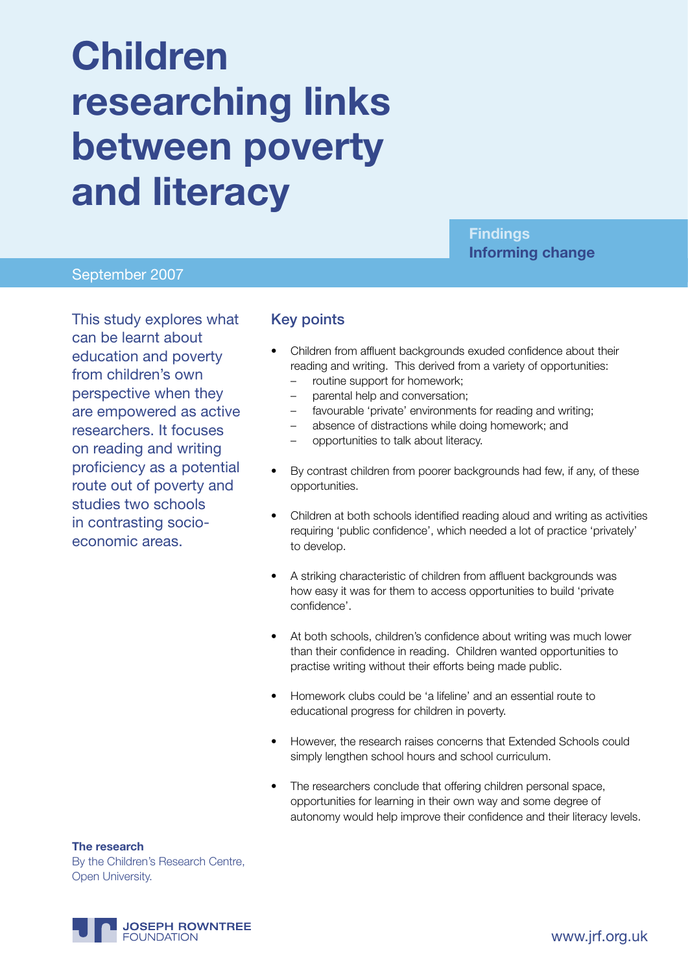# **Children researching links between poverty and literacy**

**Findings Informing change**

#### September 2007

This study explores what can be learnt about education and poverty from children's own perspective when they are empowered as active researchers. It focuses on reading and writing proficiency as a potential route out of poverty and studies two schools in contrasting socioeconomic areas.

#### Key points

- Children from affluent backgrounds exuded confidence about their reading and writing. This derived from a variety of opportunities:
	- routine support for homework;
	- parental help and conversation;
	- favourable 'private' environments for reading and writing;
	- absence of distractions while doing homework; and
	- opportunities to talk about literacy.
- By contrast children from poorer backgrounds had few, if any, of these opportunities.
- Children at both schools identified reading aloud and writing as activities requiring 'public confidence', which needed a lot of practice 'privately' to develop.
- A striking characteristic of children from affluent backgrounds was how easy it was for them to access opportunities to build 'private confidence'.
- At both schools, children's confidence about writing was much lower than their confidence in reading. Children wanted opportunities to practise writing without their efforts being made public.
- Homework clubs could be 'a lifeline' and an essential route to educational progress for children in poverty.
- However, the research raises concerns that Extended Schools could simply lengthen school hours and school curriculum.
- The researchers conclude that offering children personal space, opportunities for learning in their own way and some degree of autonomy would help improve their confidence and their literacy levels.

**The research** By the Children's Research Centre, Open University.

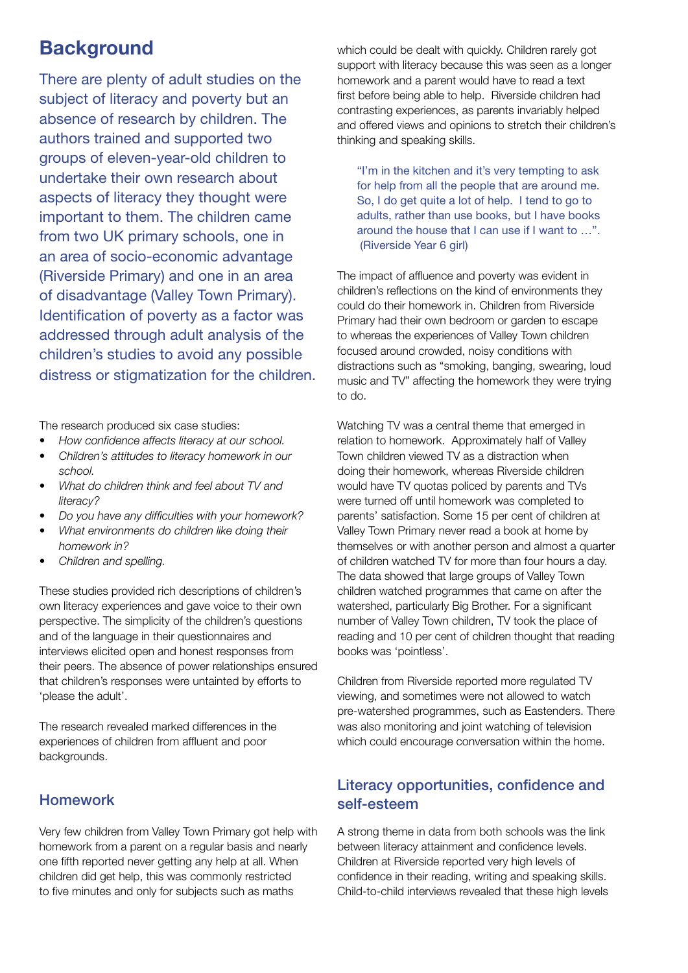# **Background**

There are plenty of adult studies on the subject of literacy and poverty but an absence of research by children. The authors trained and supported two groups of eleven-year-old children to undertake their own research about aspects of literacy they thought were important to them. The children came from two UK primary schools, one in an area of socio-economic advantage (Riverside Primary) and one in an area of disadvantage (Valley Town Primary). Identification of poverty as a factor was addressed through adult analysis of the children's studies to avoid any possible distress or stigmatization for the children.

The research produced six case studies:

- *How confidence affects literacy at our school.*
- • *Children's attitudes to literacy homework in our school.*
- • *What do children think and feel about TV and literacy?*
- • *Do you have any difficulties with your homework?*
- • *What environments do children like doing their homework in?*
- • *Children and spelling.*

These studies provided rich descriptions of children's own literacy experiences and gave voice to their own perspective. The simplicity of the children's questions and of the language in their questionnaires and interviews elicited open and honest responses from their peers. The absence of power relationships ensured that children's responses were untainted by efforts to 'please the adult'.

The research revealed marked differences in the experiences of children from affluent and poor backgrounds.

#### Homework

Very few children from Valley Town Primary got help with homework from a parent on a regular basis and nearly one fifth reported never getting any help at all. When children did get help, this was commonly restricted to five minutes and only for subjects such as maths

which could be dealt with quickly. Children rarely got support with literacy because this was seen as a longer homework and a parent would have to read a text first before being able to help. Riverside children had contrasting experiences, as parents invariably helped and offered views and opinions to stretch their children's thinking and speaking skills.

"I'm in the kitchen and it's very tempting to ask for help from all the people that are around me. So, I do get quite a lot of help. I tend to go to adults, rather than use books, but I have books around the house that I can use if I want to …". (Riverside Year 6 girl)

The impact of affluence and poverty was evident in children's reflections on the kind of environments they could do their homework in. Children from Riverside Primary had their own bedroom or garden to escape to whereas the experiences of Valley Town children focused around crowded, noisy conditions with distractions such as "smoking, banging, swearing, loud music and TV" affecting the homework they were trying to do.

Watching TV was a central theme that emerged in relation to homework. Approximately half of Valley Town children viewed TV as a distraction when doing their homework, whereas Riverside children would have TV quotas policed by parents and TVs were turned off until homework was completed to parents' satisfaction. Some 15 per cent of children at Valley Town Primary never read a book at home by themselves or with another person and almost a quarter of children watched TV for more than four hours a day. The data showed that large groups of Valley Town children watched programmes that came on after the watershed, particularly Big Brother. For a significant number of Valley Town children, TV took the place of reading and 10 per cent of children thought that reading books was 'pointless'.

Children from Riverside reported more regulated TV viewing, and sometimes were not allowed to watch pre-watershed programmes, such as Eastenders. There was also monitoring and joint watching of television which could encourage conversation within the home.

# Literacy opportunities, confidence and self-esteem

A strong theme in data from both schools was the link between literacy attainment and confidence levels. Children at Riverside reported very high levels of confidence in their reading, writing and speaking skills. Child-to-child interviews revealed that these high levels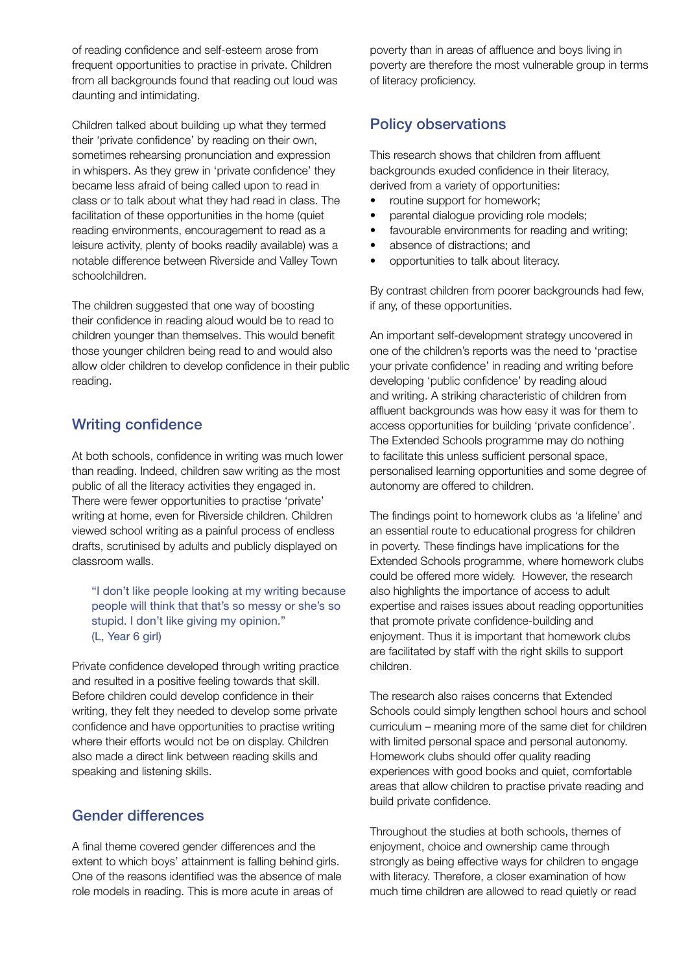of reading confidence and self-esteem arose from frequent opportunities to practise in private. Children from all backgrounds found that reading out loud was daunting and intimidating.

Children talked about building up what they termed their 'private confidence' by reading on their own, sometimes rehearsing pronunciation and expression in whispers. As they grew in 'private confidence' they became less afraid of being called upon to read in class or to talk about what they had read in class. The facilitation of these opportunities in the home (quiet reading environments, encouragement to read as a leisure activity, plenty of books readily available) was a notable difference between Riverside and Valley Town schoolchildren.

The children suggested that one way of boosting their confidence in reading aloud would be to read to children younger than themselves. This would benefit those younger children being read to and would also allow older children to develop confidence in their public reading.

# Writing confidence

At both schools, confidence in writing was much lower than reading. Indeed, children saw writing as the most public of all the literacy activities they engaged in. There were fewer opportunities to practise 'private' writing at home, even for Riverside children. Children viewed school writing as a painful process of endless drafts, scrutinised by adults and publicly displayed on classroom walls.

"I don't like people looking at my writing because people will think that that's so messy or she's so stupid. I don't like giving my opinion." (L, Year 6 girl)

Private confidence developed through writing practice and resulted in a positive feeling towards that skill. Before children could develop confidence in their writing, they felt they needed to develop some private confidence and have opportunities to practise writing where their efforts would not be on display. Children also made a direct link between reading skills and speaking and listening skills.

# Gender differences

A final theme covered gender differences and the extent to which boys' attainment is falling behind girls. One of the reasons identified was the absence of male role models in reading. This is more acute in areas of

poverty than in areas of affluence and boys living in poverty are therefore the most vulnerable group in terms of literacy proficiency.

# Policy observations

This research shows that children from affluent backgrounds exuded confidence in their literacy, derived from a variety of opportunities:

- routine support for homework;
- parental dialogue providing role models;
- favourable environments for reading and writing;
- absence of distractions; and
- opportunities to talk about literacy.

By contrast children from poorer backgrounds had few, if any, of these opportunities.

An important self-development strategy uncovered in one of the children's reports was the need to 'practise your private confidence' in reading and writing before developing 'public confidence' by reading aloud and writing. A striking characteristic of children from affluent backgrounds was how easy it was for them to access opportunities for building 'private confidence'. The Extended Schools programme may do nothing to facilitate this unless sufficient personal space, personalised learning opportunities and some degree of autonomy are offered to children.

The findings point to homework clubs as 'a lifeline' and an essential route to educational progress for children in poverty. These findings have implications for the Extended Schools programme, where homework clubs could be offered more widely. However, the research also highlights the importance of access to adult expertise and raises issues about reading opportunities that promote private confidence-building and enjoyment. Thus it is important that homework clubs are facilitated by staff with the right skills to support children.

The research also raises concerns that Extended Schools could simply lengthen school hours and school curriculum – meaning more of the same diet for children with limited personal space and personal autonomy. Homework clubs should offer quality reading experiences with good books and quiet, comfortable areas that allow children to practise private reading and build private confidence.

Throughout the studies at both schools, themes of enjoyment, choice and ownership came through strongly as being effective ways for children to engage with literacy. Therefore, a closer examination of how much time children are allowed to read quietly or read